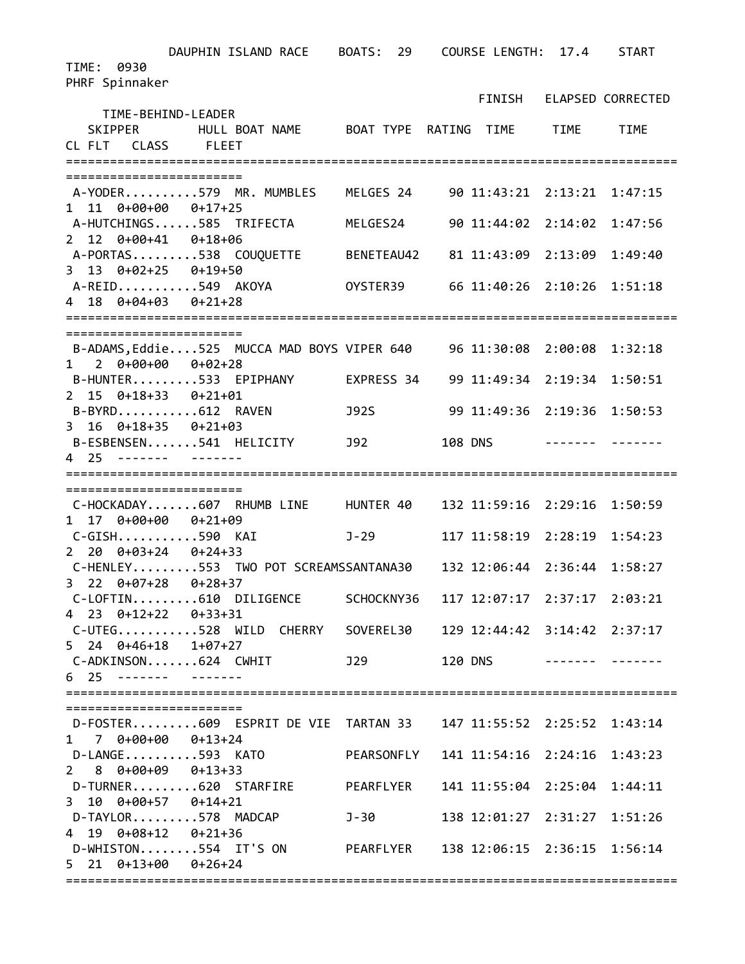DAUPHIN ISLAND RACE BOATS: 29 COURSE LENGTH: 17.4 START TIME: 0930 PHRF Spinnaker FINISH ELAPSED CORRECTED TIME‐BEHIND‐LEADER SKIPPER HULL BOAT NAME BOAT TYPE RATING TIME TIME TIME CL FLT CLASS FLEET =================================================================================== ======================== A‐YODER..........579 MR. MUMBLES MELGES 24 90 11:43:21 2:13:21 1:47:15 1 11 0+00+00 0+17+25 A‐HUTCHINGS......585 TRIFECTA MELGES24 90 11:44:02 2:14:02 1:47:56 2 12 0+00+41 0+18+06 A‐PORTAS.........538 COUQUETTE BENETEAU42 81 11:43:09 2:13:09 1:49:40 3 13 0+02+25 0+19+50 A‐REID...........549 AKOYA OYSTER39 66 11:40:26 2:10:26 1:51:18 4 18 0+04+03 0+21+28 =================================================================================== ======================== B‐ADAMS,Eddie....525 MUCCA MAD BOYS VIPER 640 96 11:30:08 2:00:08 1:32:18 1 2 0+00+00 0+02+28 B‐HUNTER.........533 EPIPHANY EXPRESS 34 99 11:49:34 2:19:34 1:50:51 2 15 0+18+33 0+21+01 B‐BYRD...........612 RAVEN J92S 99 11:49:36 2:19:36 1:50:53 3 16 0+18+35 0+21+03 B‐ESBENSEN.......541 HELICITY J92 108 DNS ‐‐‐‐‐‐‐ ‐‐‐‐‐‐‐ 4 25 ‐‐‐‐‐‐‐ ‐‐‐‐‐‐‐ =================================================================================== ======================== C‐HOCKADAY.......607 RHUMB LINE HUNTER 40 132 11:59:16 2:29:16 1:50:59 1 17 0+00+00 0+21+09 C‐GISH...........590 KAI J‐29 117 11:58:19 2:28:19 1:54:23 2 20 0+03+24 0+24+33 C‐HENLEY.........553 TWO POT SCREAMSSANTANA30 132 12:06:44 2:36:44 1:58:27 3 22 0+07+28 0+28+37 C‐LOFTIN.........610 DILIGENCE SCHOCKNY36 117 12:07:17 2:37:17 2:03:21 4 23 0+12+22 0+33+31 C‐UTEG...........528 WILD CHERRY SOVEREL30 129 12:44:42 3:14:42 2:37:17 5 24 0+46+18 1+07+27 C‐ADKINSON.......624 CWHIT J29 120 DNS ‐‐‐‐‐‐‐ ‐‐‐‐‐‐‐ 6 25 ‐‐‐‐‐‐‐ ‐‐‐‐‐‐‐ =================================================================================== ======================== D‐FOSTER.........609 ESPRIT DE VIE TARTAN 33 147 11:55:52 2:25:52 1:43:14 1 7 0+00+00 0+13+24 D‐LANGE..........593 KATO PEARSONFLY 141 11:54:16 2:24:16 1:43:23 2 8 0+00+09 0+13+33 D‐TURNER.........620 STARFIRE PEARFLYER 141 11:55:04 2:25:04 1:44:11 3 10 0+00+57 0+14+21 D‐TAYLOR.........578 MADCAP J‐30 138 12:01:27 2:31:27 1:51:26  $4$  19  $0+08+12$   $0+21+36$ D‐WHISTON........554 IT'S ON PEARFLYER 138 12:06:15 2:36:15 1:56:14 5 21 0+13+00 0+26+24 ===================================================================================